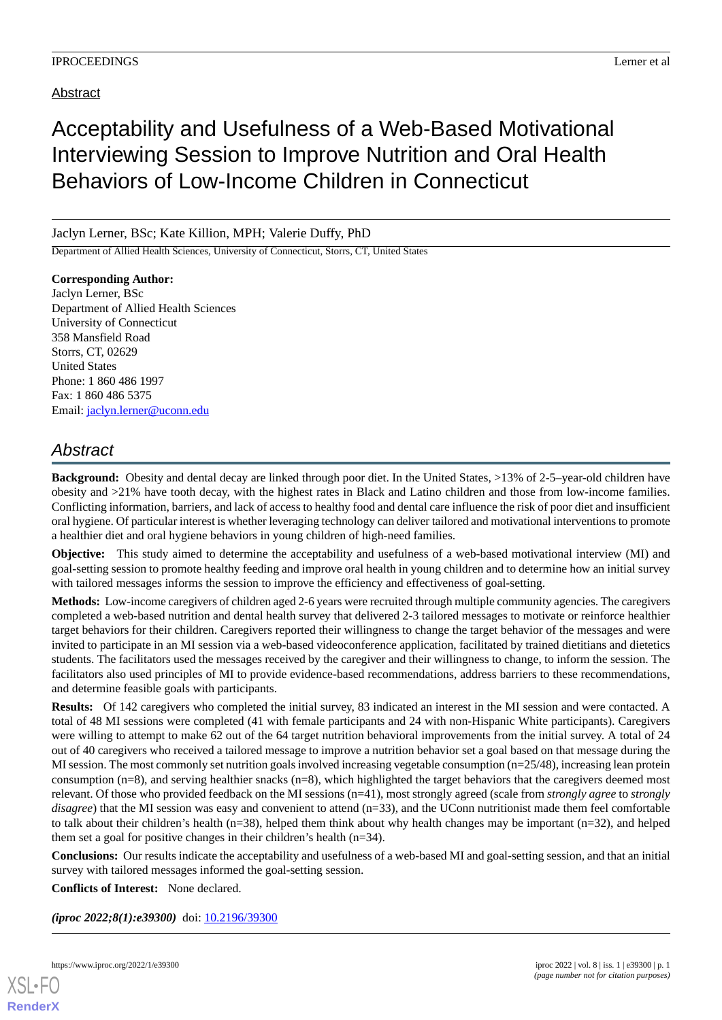# Acceptability and Usefulness of a Web-Based Motivational Interviewing Session to Improve Nutrition and Oral Health Behaviors of Low-Income Children in Connecticut

### Jaclyn Lerner, BSc; Kate Killion, MPH; Valerie Duffy, PhD

Department of Allied Health Sciences, University of Connecticut, Storrs, CT, United States

**Corresponding Author:** Jaclyn Lerner, BSc Department of Allied Health Sciences University of Connecticut 358 Mansfield Road Storrs, CT, 02629 United States Phone: 1 860 486 1997 Fax: 1 860 486 5375 Email: [jaclyn.lerner@uconn.edu](mailto:jaclyn.lerner@uconn.edu)

## *Abstract*

**Background:** Obesity and dental decay are linked through poor diet. In the United States, >13% of 2-5–year-old children have obesity and >21% have tooth decay, with the highest rates in Black and Latino children and those from low-income families. Conflicting information, barriers, and lack of access to healthy food and dental care influence the risk of poor diet and insufficient oral hygiene. Of particular interest is whether leveraging technology can deliver tailored and motivational interventions to promote a healthier diet and oral hygiene behaviors in young children of high-need families.

**Objective:** This study aimed to determine the acceptability and usefulness of a web-based motivational interview (MI) and goal-setting session to promote healthy feeding and improve oral health in young children and to determine how an initial survey with tailored messages informs the session to improve the efficiency and effectiveness of goal-setting.

**Methods:** Low-income caregivers of children aged 2-6 years were recruited through multiple community agencies. The caregivers completed a web-based nutrition and dental health survey that delivered 2-3 tailored messages to motivate or reinforce healthier target behaviors for their children. Caregivers reported their willingness to change the target behavior of the messages and were invited to participate in an MI session via a web-based videoconference application, facilitated by trained dietitians and dietetics students. The facilitators used the messages received by the caregiver and their willingness to change, to inform the session. The facilitators also used principles of MI to provide evidence-based recommendations, address barriers to these recommendations, and determine feasible goals with participants.

**Results:** Of 142 caregivers who completed the initial survey, 83 indicated an interest in the MI session and were contacted. A total of 48 MI sessions were completed (41 with female participants and 24 with non-Hispanic White participants). Caregivers were willing to attempt to make 62 out of the 64 target nutrition behavioral improvements from the initial survey. A total of 24 out of 40 caregivers who received a tailored message to improve a nutrition behavior set a goal based on that message during the MI session. The most commonly set nutrition goals involved increasing vegetable consumption (n=25/48), increasing lean protein consumption (n=8), and serving healthier snacks (n=8), which highlighted the target behaviors that the caregivers deemed most relevant. Of those who provided feedback on the MI sessions (n=41), most strongly agreed (scale from *strongly agree* to *strongly disagree*) that the MI session was easy and convenient to attend (n=33), and the UConn nutritionist made them feel comfortable to talk about their children's health (n=38), helped them think about why health changes may be important (n=32), and helped them set a goal for positive changes in their children's health (n=34).

**Conclusions:** Our results indicate the acceptability and usefulness of a web-based MI and goal-setting session, and that an initial survey with tailored messages informed the goal-setting session.

**Conflicts of Interest:** None declared.

*(iproc 2022;8(1):e39300)* doi:  $10.2196/39300$